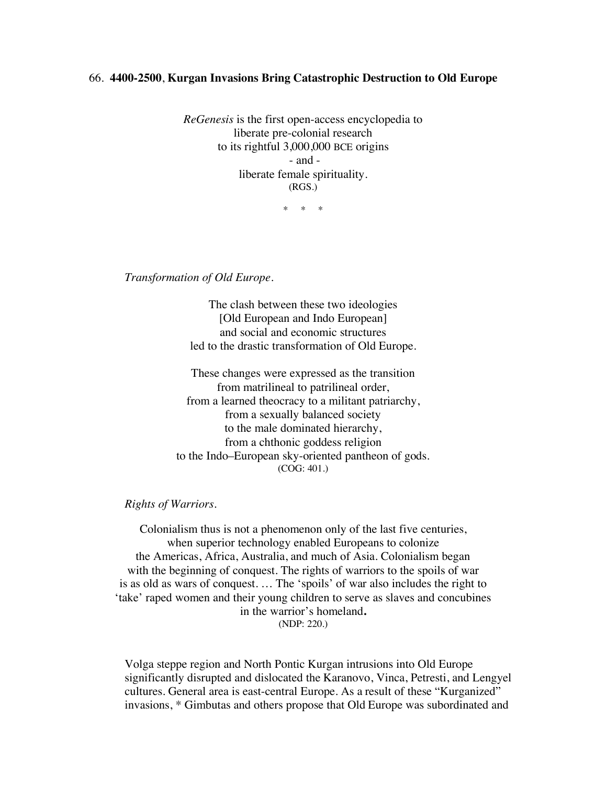## 66. **4400-2500**, **Kurgan Invasions Bring Catastrophic Destruction to Old Europe**

*ReGenesis* is the first open-access encyclopedia to liberate pre-colonial research to its rightful 3,000,000 BCE origins - and liberate female spirituality. (RGS.)

\* \* \*

*Transformation of Old Europe.*

The clash between these two ideologies [Old European and Indo European] and social and economic structures led to the drastic transformation of Old Europe.

These changes were expressed as the transition from matrilineal to patrilineal order, from a learned theocracy to a militant patriarchy, from a sexually balanced society to the male dominated hierarchy, from a chthonic goddess religion to the Indo–European sky-oriented pantheon of gods. (COG: 401.)

## *Rights of Warriors.*

Colonialism thus is not a phenomenon only of the last five centuries, when superior technology enabled Europeans to colonize the Americas, Africa, Australia, and much of Asia. Colonialism began with the beginning of conquest. The rights of warriors to the spoils of war is as old as wars of conquest. … The 'spoils' of war also includes the right to 'take' raped women and their young children to serve as slaves and concubines in the warrior's homeland**.** (NDP: 220.)

Volga steppe region and North Pontic Kurgan intrusions into Old Europe significantly disrupted and dislocated the Karanovo, Vinca, Petresti, and Lengyel cultures. General area is east-central Europe. As a result of these "Kurganized" invasions, \* Gimbutas and others propose that Old Europe was subordinated and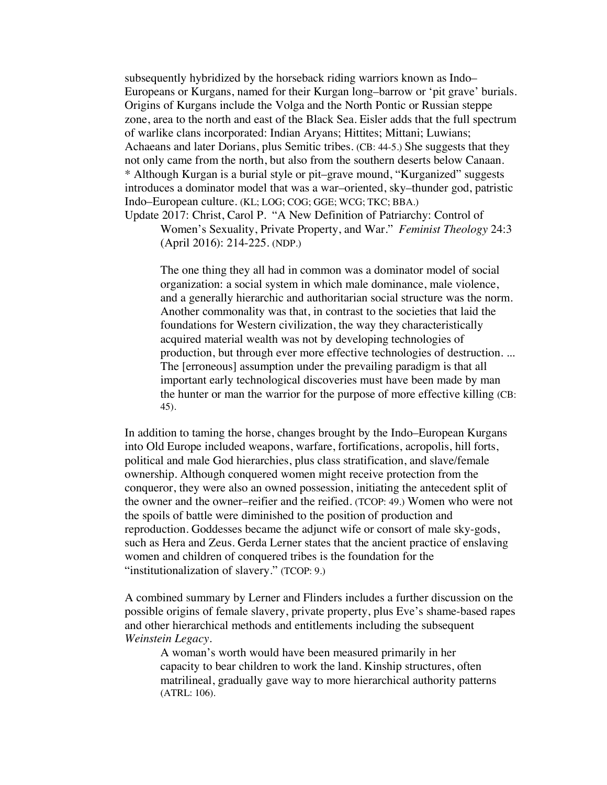subsequently hybridized by the horseback riding warriors known as Indo– Europeans or Kurgans, named for their Kurgan long–barrow or 'pit grave' burials. Origins of Kurgans include the Volga and the North Pontic or Russian steppe zone, area to the north and east of the Black Sea. Eisler adds that the full spectrum of warlike clans incorporated: Indian Aryans; Hittites; Mittani; Luwians; Achaeans and later Dorians, plus Semitic tribes. (CB: 44-5.) She suggests that they not only came from the north, but also from the southern deserts below Canaan. \* Although Kurgan is a burial style or pit–grave mound, "Kurganized" suggests introduces a dominator model that was a war–oriented, sky–thunder god, patristic Indo–European culture. (KL; LOG; COG; GGE; WCG; TKC; BBA.)

Update 2017: Christ, Carol P. "A New Definition of Patriarchy: Control of Women's Sexuality, Private Property, and War." *Feminist Theology* 24:3 (April 2016): 214-225. (NDP.)

The one thing they all had in common was a dominator model of social organization: a social system in which male dominance, male violence, and a generally hierarchic and authoritarian social structure was the norm. Another commonality was that, in contrast to the societies that laid the foundations for Western civilization, the way they characteristically acquired material wealth was not by developing technologies of production, but through ever more effective technologies of destruction. ... The [erroneous] assumption under the prevailing paradigm is that all important early technological discoveries must have been made by man the hunter or man the warrior for the purpose of more effective killing (CB: 45).

In addition to taming the horse, changes brought by the Indo–European Kurgans into Old Europe included weapons, warfare, fortifications, acropolis, hill forts, political and male God hierarchies, plus class stratification, and slave/female ownership. Although conquered women might receive protection from the conqueror, they were also an owned possession, initiating the antecedent split of the owner and the owner–reifier and the reified. (TCOP: 49.) Women who were not the spoils of battle were diminished to the position of production and reproduction. Goddesses became the adjunct wife or consort of male sky-gods, such as Hera and Zeus. Gerda Lerner states that the ancient practice of enslaving women and children of conquered tribes is the foundation for the "institutionalization of slavery." (TCOP: 9.)

A combined summary by Lerner and Flinders includes a further discussion on the possible origins of female slavery, private property, plus Eve's shame-based rapes and other hierarchical methods and entitlements including the subsequent *Weinstein Legacy*.

A woman's worth would have been measured primarily in her capacity to bear children to work the land. Kinship structures, often matrilineal, gradually gave way to more hierarchical authority patterns (ATRL: 106).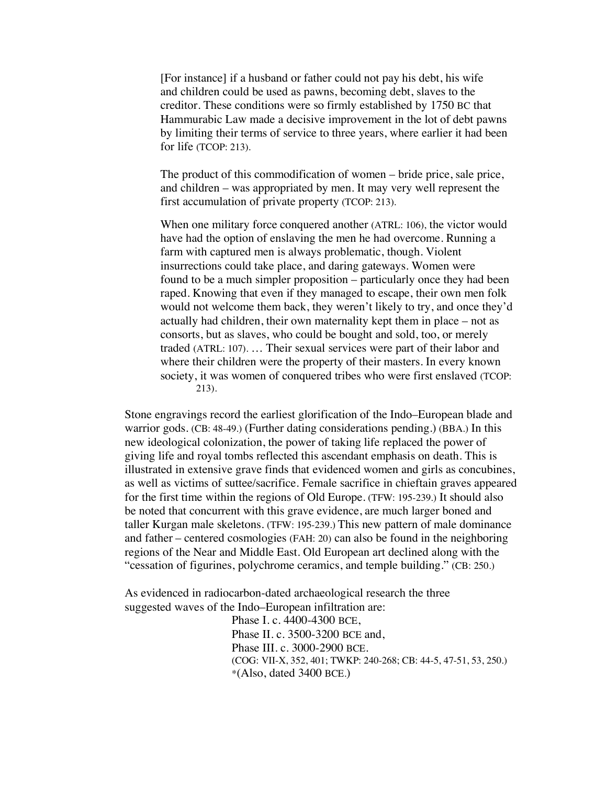[For instance] if a husband or father could not pay his debt, his wife and children could be used as pawns, becoming debt, slaves to the creditor. These conditions were so firmly established by 1750 BC that Hammurabic Law made a decisive improvement in the lot of debt pawns by limiting their terms of service to three years, where earlier it had been for life (TCOP: 213).

The product of this commodification of women – bride price, sale price, and children – was appropriated by men. It may very well represent the first accumulation of private property (TCOP: 213).

When one military force conquered another (ATRL: 106), the victor would have had the option of enslaving the men he had overcome. Running a farm with captured men is always problematic, though. Violent insurrections could take place, and daring gateways. Women were found to be a much simpler proposition – particularly once they had been raped. Knowing that even if they managed to escape, their own men folk would not welcome them back, they weren't likely to try, and once they'd actually had children, their own maternality kept them in place – not as consorts, but as slaves, who could be bought and sold, too, or merely traded (ATRL: 107). … Their sexual services were part of their labor and where their children were the property of their masters. In every known society, it was women of conquered tribes who were first enslaved (TCOP: 213).

Stone engravings record the earliest glorification of the Indo–European blade and warrior gods. (CB: 48-49.) (Further dating considerations pending.) (BBA.) In this new ideological colonization, the power of taking life replaced the power of giving life and royal tombs reflected this ascendant emphasis on death. This is illustrated in extensive grave finds that evidenced women and girls as concubines, as well as victims of suttee/sacrifice*.* Female sacrifice in chieftain graves appeared for the first time within the regions of Old Europe. (TFW: 195-239.) It should also be noted that concurrent with this grave evidence, are much larger boned and taller Kurgan male skeletons. (TFW: 195-239.) This new pattern of male dominance and father – centered cosmologies (FAH: 20) can also be found in the neighboring regions of the Near and Middle East. Old European art declined along with the "cessation of figurines, polychrome ceramics, and temple building." (CB: 250.)

As evidenced in radiocarbon-dated archaeological research the three suggested waves of the Indo–European infiltration are:

> Phase I. c. 4400-4300 BCE, Phase II. c. 3500-3200 BCE and, Phase III. c. 3000-2900 BCE. (COG: VII-X, 352, 401; TWKP: 240-268; CB: 44-5, 47-51, 53, 250.)  $*(Also, dated 3400 BCE.)$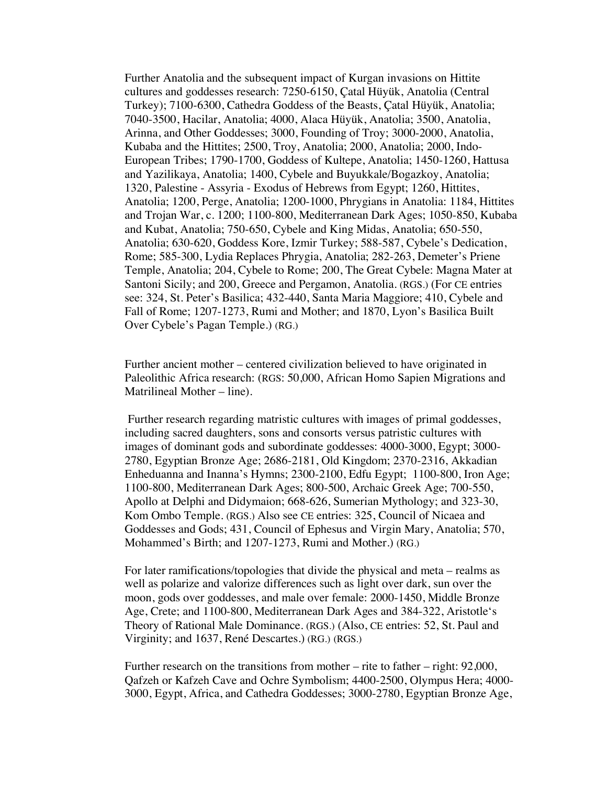Further Anatolia and the subsequent impact of Kurgan invasions on Hittite cultures and goddesses research: 7250-6150, Çatal Hüyük, Anatolia (Central Turkey); 7100-6300, Cathedra Goddess of the Beasts, Çatal Hüyük, Anatolia; 7040-3500, Hacilar, Anatolia; 4000, Alaca Hüyük, Anatolia; 3500, Anatolia, Arinna, and Other Goddesses; 3000, Founding of Troy; 3000-2000, Anatolia, Kubaba and the Hittites; 2500, Troy, Anatolia; 2000, Anatolia; 2000, Indo-European Tribes; 1790-1700, Goddess of Kultepe, Anatolia; 1450-1260, Hattusa and Yazilikaya, Anatolia; 1400, Cybele and Buyukkale/Bogazkoy, Anatolia; 1320, Palestine - Assyria - Exodus of Hebrews from Egypt; 1260, Hittites, Anatolia; 1200, Perge, Anatolia; 1200-1000, Phrygians in Anatolia: 1184, Hittites and Trojan War, c. 1200; 1100-800, Mediterranean Dark Ages; 1050-850, Kubaba and Kubat, Anatolia; 750-650, Cybele and King Midas, Anatolia; 650-550, Anatolia; 630-620, Goddess Kore, Izmir Turkey; 588-587, Cybele's Dedication, Rome; 585-300, Lydia Replaces Phrygia, Anatolia; 282-263, Demeter's Priene Temple, Anatolia; 204, Cybele to Rome; 200, The Great Cybele: Magna Mater at Santoni Sicily; and 200, Greece and Pergamon, Anatolia. (RGS.) (For CE entries see: 324, St. Peter's Basilica; 432-440, Santa Maria Maggiore; 410, Cybele and Fall of Rome; 1207-1273, Rumi and Mother; and 1870, Lyon's Basilica Built Over Cybele's Pagan Temple.) (RG.)

Further ancient mother – centered civilization believed to have originated in Paleolithic Africa research: (RGS: 50,000, African Homo Sapien Migrations and Matrilineal Mother – line).

Further research regarding matristic cultures with images of primal goddesses, including sacred daughters, sons and consorts versus patristic cultures with images of dominant gods and subordinate goddesses: 4000-3000, Egypt; 3000- 2780, Egyptian Bronze Age; 2686-2181, Old Kingdom; 2370-2316, Akkadian Enheduanna and Inanna's Hymns; 2300-2100, Edfu Egypt; 1100-800, Iron Age; 1100-800, Mediterranean Dark Ages; 800-500, Archaic Greek Age; 700-550, Apollo at Delphi and Didymaion; 668-626, Sumerian Mythology; and 323-30, Kom Ombo Temple. (RGS.) Also see CE entries: 325, Council of Nicaea and Goddesses and Gods; 431, Council of Ephesus and Virgin Mary, Anatolia; 570, Mohammed's Birth; and 1207-1273, Rumi and Mother.) (RG.)

For later ramifications/topologies that divide the physical and meta – realms as well as polarize and valorize differences such as light over dark, sun over the moon, gods over goddesses, and male over female: 2000-1450, Middle Bronze Age, Crete; and 1100-800, Mediterranean Dark Ages and 384-322, Aristotle's Theory of Rational Male Dominance. (RGS.) (Also, CE entries: 52, St. Paul and Virginity; and 1637, René Descartes.) (RG.) (RGS.)

Further research on the transitions from mother – rite to father – right: 92,000, Qafzeh or Kafzeh Cave and Ochre Symbolism; 4400-2500, Olympus Hera; 4000- 3000, Egypt, Africa, and Cathedra Goddesses; 3000-2780, Egyptian Bronze Age,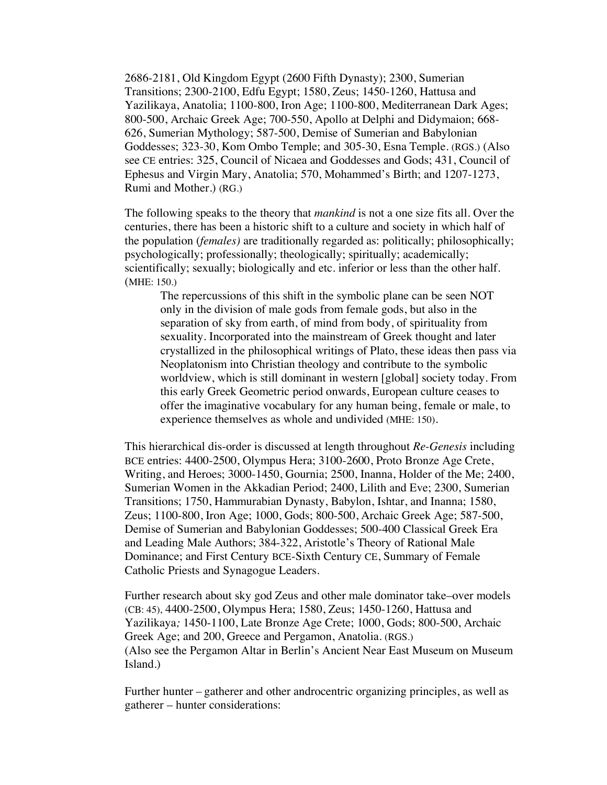2686-2181, Old Kingdom Egypt (2600 Fifth Dynasty); 2300, Sumerian Transitions; 2300-2100, Edfu Egypt; 1580, Zeus; 1450-1260, Hattusa and Yazilikaya, Anatolia; 1100-800, Iron Age; 1100-800, Mediterranean Dark Ages; 800-500, Archaic Greek Age; 700-550, Apollo at Delphi and Didymaion; 668- 626, Sumerian Mythology; 587-500, Demise of Sumerian and Babylonian Goddesses; 323-30, Kom Ombo Temple; and 305-30, Esna Temple. (RGS.) (Also see CE entries: 325, Council of Nicaea and Goddesses and Gods; 431, Council of Ephesus and Virgin Mary, Anatolia; 570, Mohammed's Birth; and 1207-1273, Rumi and Mother.) (RG.)

The following speaks to the theory that *mankind* is not a one size fits all. Over the centuries, there has been a historic shift to a culture and society in which half of the population (*females)* are traditionally regarded as: politically; philosophically; psychologically; professionally; theologically; spiritually; academically; scientifically; sexually; biologically and etc. inferior or less than the other half. (MHE: 150.)

The repercussions of this shift in the symbolic plane can be seen NOT only in the division of male gods from female gods, but also in the separation of sky from earth, of mind from body, of spirituality from sexuality. Incorporated into the mainstream of Greek thought and later crystallized in the philosophical writings of Plato, these ideas then pass via Neoplatonism into Christian theology and contribute to the symbolic worldview, which is still dominant in western [global] society today. From this early Greek Geometric period onwards, European culture ceases to offer the imaginative vocabulary for any human being, female or male, to experience themselves as whole and undivided (MHE: 150).

This hierarchical dis-order is discussed at length throughout *Re-Genesis* including BCE entries: 4400-2500, Olympus Hera; 3100-2600, Proto Bronze Age Crete, Writing, and Heroes; 3000-1450, Gournia; 2500, Inanna, Holder of the Me; 2400, Sumerian Women in the Akkadian Period; 2400, Lilith and Eve; 2300, Sumerian Transitions; 1750, Hammurabian Dynasty, Babylon, Ishtar, and Inanna; 1580, Zeus; 1100-800, Iron Age; 1000, Gods; 800-500, Archaic Greek Age; 587-500, Demise of Sumerian and Babylonian Goddesses; 500-400 Classical Greek Era and Leading Male Authors; 384-322, Aristotle's Theory of Rational Male Dominance; and First Century BCE-Sixth Century CE, Summary of Female Catholic Priests and Synagogue Leaders.

Further research about sky god Zeus and other male dominator take–over models (CB: 45), 4400-2500, Olympus Hera; 1580, Zeus; 1450-1260, Hattusa and Yazilikaya*;* 1450-1100, Late Bronze Age Crete; 1000, Gods; 800-500, Archaic Greek Age; and 200, Greece and Pergamon, Anatolia. (RGS.) (Also see the Pergamon Altar in Berlin's Ancient Near East Museum on Museum Island.)

Further hunter – gatherer and other androcentric organizing principles, as well as gatherer – hunter considerations: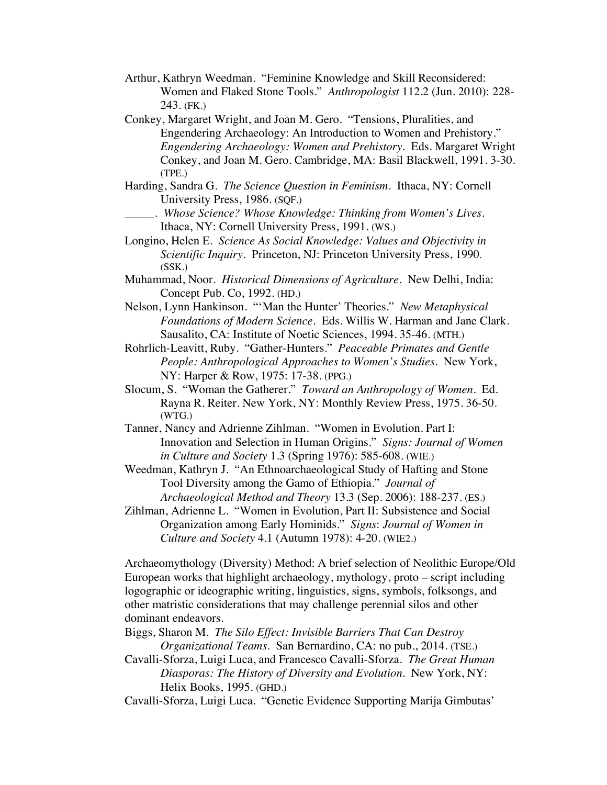- Arthur, Kathryn Weedman. "Feminine Knowledge and Skill Reconsidered: Women and Flaked Stone Tools." *Anthropologist* 112.2 (Jun. 2010): 228- 243. (FK.)
- Conkey, Margaret Wright, and Joan M. Gero. "Tensions, Pluralities, and Engendering Archaeology: An Introduction to Women and Prehistory." *Engendering Archaeology: Women and Prehistory*. Eds. Margaret Wright Conkey, and Joan M. Gero. Cambridge, MA: Basil Blackwell, 1991. 3-30. (TPE.)
- Harding, Sandra G. *The Science Question in Feminism*. Ithaca, NY: Cornell University Press, 1986. (SQF.)
- \_\_\_\_\_. *Whose Science? Whose Knowledge: Thinking from Women's Lives.* Ithaca, NY: Cornell University Press, 1991. (WS.)
- Longino, Helen E. *Science As Social Knowledge: Values and Objectivity in Scientific Inquiry.* Princeton, NJ: Princeton University Press, 1990. (SSK.)
- Muhammad, Noor. *Historical Dimensions of Agriculture*. New Delhi, India: Concept Pub. Co, 1992. (HD.)
- Nelson, Lynn Hankinson. "'Man the Hunter' Theories." *New Metaphysical Foundations of Modern Science.* Eds. Willis W. Harman and Jane Clark. Sausalito, CA: Institute of Noetic Sciences, 1994. 35-46. (MTH.)
- Rohrlich-Leavitt, Ruby. "Gather-Hunters." *Peaceable Primates and Gentle People: Anthropological Approaches to Women's Studies*. New York, NY: Harper & Row, 1975: 17-38. (PPG.)
- Slocum, S. "Woman the Gatherer." *Toward an Anthropology of Women*. Ed. Rayna R. Reiter. New York, NY: Monthly Review Press, 1975. 36-50. (WTG.)
- Tanner, Nancy and Adrienne Zihlman. "Women in Evolution. Part I: Innovation and Selection in Human Origins." *Signs: Journal of Women in Culture and Society* 1.3 (Spring 1976): 585-608. (WIE.)
- Weedman, Kathryn J. "An Ethnoarchaeological Study of Hafting and Stone Tool Diversity among the Gamo of Ethiopia." *Journal of Archaeological Method and Theory* 13.3 (Sep. 2006): 188-237. (ES.)
- Zihlman, Adrienne L. "Women in Evolution, Part II: Subsistence and Social Organization among Early Hominids." *Signs*: *Journal of Women in Culture and Society* 4.1 (Autumn 1978): 4-20. (WIE2.)

Archaeomythology (Diversity) Method: A brief selection of Neolithic Europe/Old European works that highlight archaeology, mythology, proto – script including logographic or ideographic writing, linguistics, signs, symbols, folksongs, and other matristic considerations that may challenge perennial silos and other dominant endeavors.

- Biggs, Sharon M. *The Silo Effect: Invisible Barriers That Can Destroy Organizational Teams*. San Bernardino, CA: no pub., 2014. (TSE.)
- Cavalli-Sforza, Luigi Luca, and Francesco Cavalli-Sforza. *The Great Human Diasporas: The History of Diversity and Evolution*. New York, NY: Helix Books, 1995. (GHD.)
- Cavalli-Sforza, Luigi Luca. "Genetic Evidence Supporting Marija Gimbutas'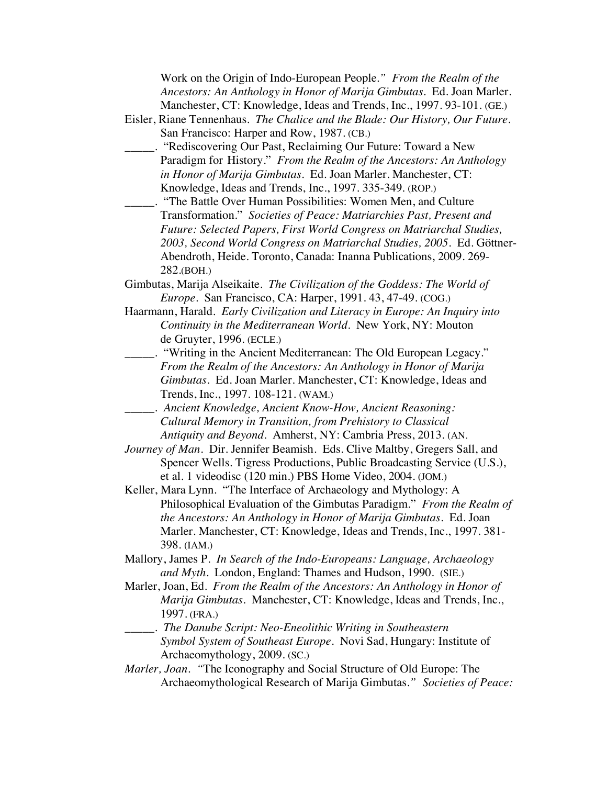Work on the Origin of Indo-European People*." From the Realm of the Ancestors: An Anthology in Honor of Marija Gimbutas*. Ed. Joan Marler. Manchester, CT: Knowledge, Ideas and Trends, Inc., 1997. 93-101. (GE.)

- Eisler, Riane Tennenhaus. *The Chalice and the Blade: Our History, Our Future.* San Francisco: Harper and Row, 1987. (CB.)
- \_\_\_\_\_. "Rediscovering Our Past, Reclaiming Our Future: Toward a New Paradigm for History." *From the Realm of the Ancestors: An Anthology in Honor of Marija Gimbutas.* Ed. Joan Marler. Manchester, CT: Knowledge, Ideas and Trends, Inc., 1997. 335-349. (ROP.)
- \_\_\_\_\_. "The Battle Over Human Possibilities: Women Men, and Culture Transformation." *Societies of Peace: Matriarchies Past, Present and Future: Selected Papers, First World Congress on Matriarchal Studies, 2003, Second World Congress on Matriarchal Studies, 2005*. Ed. Göttner-Abendroth, Heide. Toronto, Canada: Inanna Publications, 2009. 269- 282.(BOH.)
- Gimbutas, Marija Alseikaite. *The Civilization of the Goddess: The World of Europe*. San Francisco, CA: Harper, 1991. 43, 47-49. (COG.)
- Haarmann, Harald. *Early Civilization and Literacy in Europe: An Inquiry into Continuity in the Mediterranean World.* New York, NY: Mouton de Gruyter, 1996. (ECLE.)
	- \_\_\_\_\_. "Writing in the Ancient Mediterranean: The Old European Legacy." *From the Realm of the Ancestors: An Anthology in Honor of Marija Gimbutas*. Ed. Joan Marler. Manchester, CT: Knowledge, Ideas and Trends, Inc., 1997. 108-121. (WAM.)
- \_\_\_\_\_. *Ancient Knowledge, Ancient Know-How, Ancient Reasoning: Cultural Memory in Transition, from Prehistory to Classical Antiquity and Beyond*. Amherst, NY: Cambria Press, 2013. (AN.
- *Journey of Man.* Dir. Jennifer Beamish. Eds. Clive Maltby, Gregers Sall, and Spencer Wells. Tigress Productions, Public Broadcasting Service (U.S.), et al. 1 videodisc (120 min.) PBS Home Video, 2004. (JOM.)
- Keller, Mara Lynn. "The Interface of Archaeology and Mythology: A Philosophical Evaluation of the Gimbutas Paradigm." *From the Realm of the Ancestors: An Anthology in Honor of Marija Gimbutas*. Ed. Joan Marler. Manchester, CT: Knowledge, Ideas and Trends, Inc., 1997. 381- 398. (IAM.)
- Mallory, James P. *In Search of the Indo-Europeans: Language, Archaeology and Myth*. London, England: Thames and Hudson, 1990. (SIE.)
- Marler, Joan, Ed. *From the Realm of the Ancestors: An Anthology in Honor of Marija Gimbutas*. Manchester, CT: Knowledge, Ideas and Trends, Inc., 1997. (FRA.)
- \_\_\_\_\_. *The Danube Script: Neo-Eneolithic Writing in Southeastern Symbol System of Southeast Europe*. Novi Sad, Hungary: Institute of Archaeomythology, 2009. (SC.)
- *Marler, Joan. "*The Iconography and Social Structure of Old Europe: The Archaeomythological Research of Marija Gimbutas*." Societies of Peace:*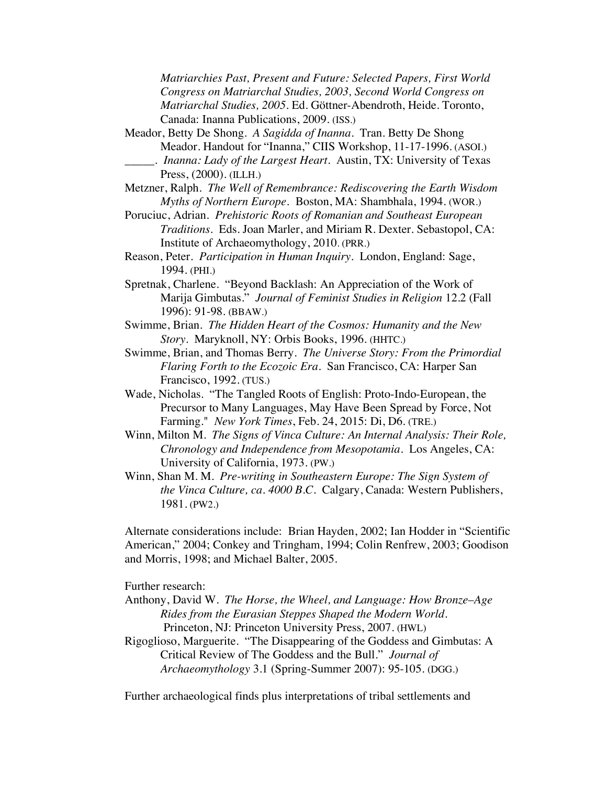*Matriarchies Past, Present and Future: Selected Papers, First World Congress on Matriarchal Studies, 2003, Second World Congress on Matriarchal Studies, 2005*. Ed. Göttner-Abendroth, Heide. Toronto, Canada: Inanna Publications, 2009. (ISS.)

Meador, Betty De Shong. *A Sagidda of Inanna*. Tran. Betty De Shong Meador. Handout for "Inanna," CIIS Workshop, 11-17-1996. (ASOI.) \_\_\_\_\_. *Inanna: Lady of the Largest Heart*. Austin, TX: University of Texas

Press, (2000). (ILLH.)

- Metzner, Ralph. *The Well of Remembrance: Rediscovering the Earth Wisdom Myths of Northern Europe.* Boston, MA: Shambhala, 1994. (WOR.)
- Poruciuc, Adrian. *Prehistoric Roots of Romanian and Southeast European Traditions*. Eds. Joan Marler, and Miriam R. Dexter. Sebastopol, CA: Institute of Archaeomythology, 2010. (PRR.)
- Reason, Peter. *Participation in Human Inquiry*. London, England: Sage, 1994. (PHI.)
- Spretnak, Charlene. "Beyond Backlash: An Appreciation of the Work of Marija Gimbutas." *Journal of Feminist Studies in Religion* 12.2 (Fall 1996): 91-98. (BBAW.)
- Swimme, Brian. *The Hidden Heart of the Cosmos: Humanity and the New Story*. Maryknoll, NY: Orbis Books, 1996. (HHTC.)
- Swimme, Brian, and Thomas Berry. *The Universe Story: From the Primordial Flaring Forth to the Ecozoic Era.* San Francisco, CA: Harper San Francisco, 1992. (TUS.)
- Wade, Nicholas. "The Tangled Roots of English: Proto-Indo-European, the Precursor to Many Languages, May Have Been Spread by Force, Not Farming." *New York Times*, Feb. 24, 2015: Di, D6. (TRE.)
- Winn, Milton M. *The Signs of Vinca Culture: An Internal Analysis: Their Role, Chronology and Independence from Mesopotamia*. Los Angeles, CA: University of California, 1973. (PW.)
- Winn, Shan M. M. *Pre-writing in Southeastern Europe: The Sign System of the Vinca Culture, ca. 4000 B.C.* Calgary, Canada: Western Publishers, 1981. (PW2.)

Alternate considerations include: Brian Hayden, 2002; Ian Hodder in "Scientific American," 2004; Conkey and Tringham, 1994; Colin Renfrew, 2003; Goodison and Morris, 1998; and Michael Balter, 2005.

Further research:

- Anthony, David W. *The Horse, the Wheel, and Language: How Bronze*–*Age Rides from the Eurasian Steppes Shaped the Modern World*. Princeton, NJ: Princeton University Press, 2007. (HWL)
- Rigoglioso, Marguerite. "The Disappearing of the Goddess and Gimbutas: A Critical Review of The Goddess and the Bull." *Journal of Archaeomythology* 3.1 (Spring-Summer 2007): 95-105. (DGG.)

Further archaeological finds plus interpretations of tribal settlements and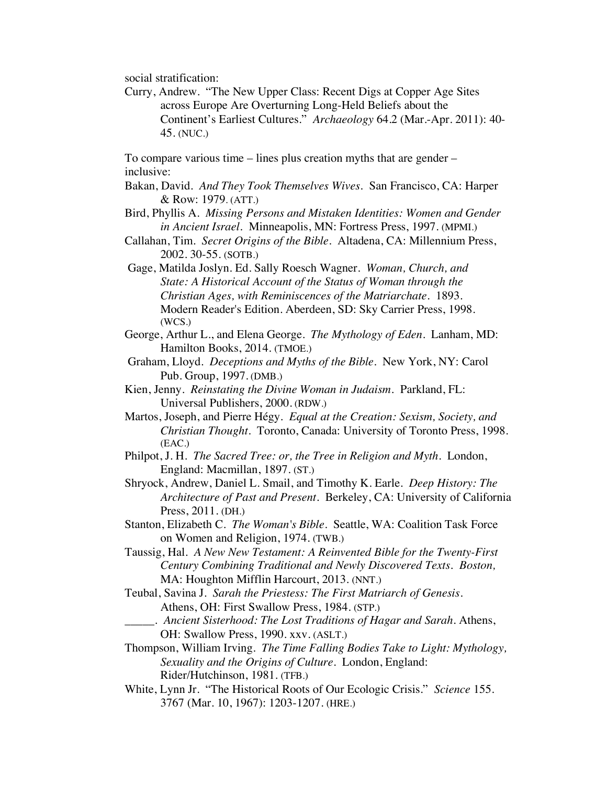social stratification:

Curry, Andrew."The New Upper Class: Recent Digs at Copper Age Sites across Europe Are Overturning Long-Held Beliefs about the Continent's Earliest Cultures." *Archaeology* 64.2 (Mar.-Apr. 2011): 40- 45. (NUC.)

To compare various time – lines plus creation myths that are gender – inclusive:

- Bakan, David. *And They Took Themselves Wives*. San Francisco, CA: Harper & Row: 1979. (ATT.)
- Bird, Phyllis A. *Missing Persons and Mistaken Identities: Women and Gender in Ancient Israel.* Minneapolis, MN: Fortress Press, 1997. (MPMI.)
- Callahan, Tim. *Secret Origins of the Bible.* Altadena, CA: Millennium Press, 2002. 30-55. (SOTB.)
- Gage, Matilda Joslyn. Ed. Sally Roesch Wagner. *Woman, Church, and State: A Historical Account of the Status of Woman through the Christian Ages, with Reminiscences of the Matriarchate*. 1893. Modern Reader's Edition. Aberdeen, SD: Sky Carrier Press, 1998. (WCS.)
- George, Arthur L., and Elena George. *The Mythology of Eden*. Lanham, MD: Hamilton Books, 2014. (TMOE.)
- Graham, Lloyd. *Deceptions and Myths of the Bible*. New York, NY: Carol Pub. Group, 1997. (DMB.)
- Kien, Jenny. *Reinstating the Divine Woman in Judaism.* Parkland, FL: Universal Publishers, 2000. (RDW.)
- Martos, Joseph, and Pierre Hégy. *Equal at the Creation: Sexism, Society, and Christian Thought*. Toronto, Canada: University of Toronto Press, 1998. (EAC.)
- Philpot, J. H. *The Sacred Tree: or, the Tree in Religion and Myth*. London, England: Macmillan, 1897. (ST.)
- Shryock, Andrew, Daniel L. Smail, and Timothy K. Earle. *Deep History: The Architecture of Past and Present*. Berkeley, CA: University of California Press, 2011. (DH.)
- Stanton, Elizabeth C. *The Woman's Bible*. Seattle, WA: Coalition Task Force on Women and Religion, 1974. (TWB.)
- Taussig, Hal. *A New New Testament: A Reinvented Bible for the Twenty-First Century Combining Traditional and Newly Discovered Texts. Boston,*  MA: Houghton Mifflin Harcourt, 2013. (NNT.)
- Teubal, Savina J. *Sarah the Priestess: The First Matriarch of Genesis*. Athens, OH: First Swallow Press, 1984. (STP.)
- \_\_\_\_\_. *Ancient Sisterhood: The Lost Traditions of Hagar and Sarah*. Athens, OH: Swallow Press, 1990. xxv. (ASLT.)
- Thompson, William Irving. *The Time Falling Bodies Take to Light: Mythology, Sexuality and the Origins of Culture.* London, England: Rider/Hutchinson, 1981. (TFB.)
- White, Lynn Jr. "The Historical Roots of Our Ecologic Crisis." *Science* 155. 3767 (Mar. 10, 1967): 1203-1207. (HRE.)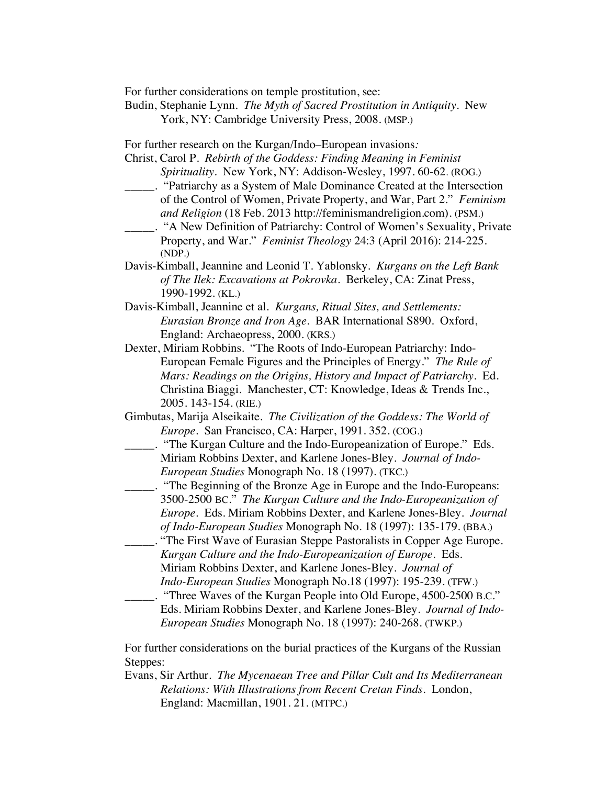For further considerations on temple prostitution, see:

Budin, Stephanie Lynn. *The Myth of Sacred Prostitution in Antiquity*. New York, NY: Cambridge University Press, 2008. (MSP.)

For further research on the Kurgan/Indo–European invasions*:*

- Christ, Carol P. *Rebirth of the Goddess: Finding Meaning in Feminist Spirituality*. New York, NY: Addison-Wesley, 1997. 60-62. (ROG.)
- \_\_\_\_\_. "Patriarchy as a System of Male Dominance Created at the Intersection of the Control of Women, Private Property, and War, Part 2." *Feminism and Religion* (18 Feb. 2013 http://feminismandreligion.com). (PSM.)
- \_\_\_\_\_. "A New Definition of Patriarchy: Control of Women's Sexuality, Private Property, and War." *Feminist Theology* 24:3 (April 2016): 214-225. (NDP.)
- Davis-Kimball, Jeannine and Leonid T. Yablonsky. *Kurgans on the Left Bank of The Ilek: Excavations at Pokrovka*. Berkeley, CA: Zinat Press, 1990-1992. (KL.)
- Davis-Kimball, Jeannine et al. *Kurgans, Ritual Sites, and Settlements: Eurasian Bronze and Iron Age.* BAR International S890. Oxford, England: Archaeopress, 2000. (KRS.)
- Dexter, Miriam Robbins. "The Roots of Indo-European Patriarchy: Indo-European Female Figures and the Principles of Energy." *The Rule of Mars: Readings on the Origins, History and Impact of Patriarchy.* Ed. Christina Biaggi. Manchester, CT: Knowledge, Ideas & Trends Inc., 2005. 143-154. (RIE.)
- Gimbutas, Marija Alseikaite. *The Civilization of the Goddess: The World of Europe*. San Francisco, CA: Harper, 1991. 352. (COG.)
- \_\_\_\_\_. "The Kurgan Culture and the Indo-Europeanization of Europe." Eds. Miriam Robbins Dexter, and Karlene Jones-Bley. *Journal of Indo-European Studies* Monograph No. 18 (1997). (TKC.)
	- \_\_\_\_\_. "The Beginning of the Bronze Age in Europe and the Indo-Europeans: 3500-2500 BC." *The Kurgan Culture and the Indo-Europeanization of Europe*. Eds. Miriam Robbins Dexter, and Karlene Jones-Bley. *Journal of Indo-European Studies* Monograph No. 18 (1997): 135-179. (BBA.)
- \_\_\_\_\_. "The First Wave of Eurasian Steppe Pastoralists in Copper Age Europe. *Kurgan Culture and the Indo-Europeanization of Europe.* Eds. Miriam Robbins Dexter, and Karlene Jones-Bley. *Journal of Indo-European Studies* Monograph No.18 (1997): 195-239. (TFW.)
- \_\_\_\_\_. "Three Waves of the Kurgan People into Old Europe, 4500-2500 B.C." Eds. Miriam Robbins Dexter, and Karlene Jones-Bley. *Journal of Indo-European Studies* Monograph No. 18 (1997): 240-268. (TWKP.)

For further considerations on the burial practices of the Kurgans of the Russian Steppes:

Evans, Sir Arthur. *The Mycenaean Tree and Pillar Cult and Its Mediterranean Relations: With Illustrations from Recent Cretan Finds*. London, England: Macmillan, 1901. 21. (MTPC.)